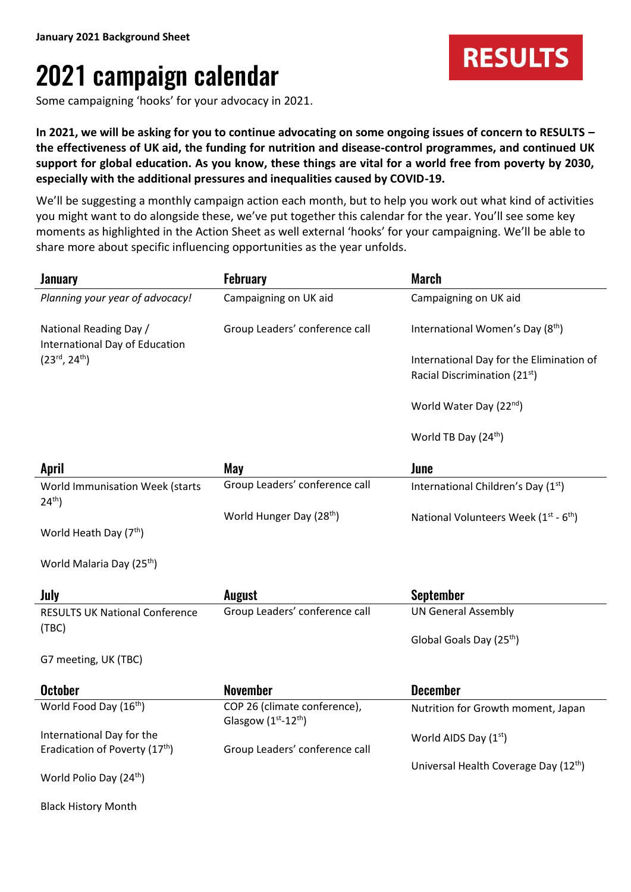## 2021 campaign calendar

Some campaigning 'hooks' for your advocacy in 2021.

**In 2021, we will be asking for you to continue advocating on some ongoing issues of concern to RESULTS – the effectiveness of UK aid, the funding for nutrition and disease-control programmes, and continued UK support for global education. As you know, these things are vital for a world free from poverty by 2030, especially with the additional pressures and inequalities caused by COVID-19.**

We'll be suggesting a monthly campaign action each month, but to help you work out what kind of activities you might want to do alongside these, we've put together this calendar for the year. You'll see some key moments as highlighted in the Action Sheet as well external 'hooks' for your campaigning. We'll be able to share more about specific influencing opportunities as the year unfolds.

| <b>January</b>                                           | <b>February</b>                                    | <b>March</b>                                 |
|----------------------------------------------------------|----------------------------------------------------|----------------------------------------------|
| Planning your year of advocacy!                          | Campaigning on UK aid                              | Campaigning on UK aid                        |
| National Reading Day /<br>International Day of Education | Group Leaders' conference call                     | International Women's Day (8th)              |
| $(23^{\text{rd}}, 24^{\text{th}})$                       |                                                    | International Day for the Elimination of     |
|                                                          |                                                    | Racial Discrimination (21 <sup>st</sup> )    |
|                                                          |                                                    | World Water Day (22 <sup>nd</sup> )          |
|                                                          |                                                    | World TB Day (24 <sup>th</sup> )             |
| <b>April</b>                                             | May                                                | June                                         |
| World Immunisation Week (starts<br>$24^{th}$ )           | Group Leaders' conference call                     | International Children's Day (1st)           |
|                                                          | World Hunger Day (28 <sup>th</sup> )               | National Volunteers Week $(1^{st} - 6^{th})$ |
| World Heath Day (7 <sup>th</sup> )                       |                                                    |                                              |
| World Malaria Day (25 <sup>th</sup> )                    |                                                    |                                              |
| July                                                     | <b>August</b>                                      | <b>September</b>                             |
| <b>RESULTS UK National Conference</b>                    | Group Leaders' conference call                     | <b>UN General Assembly</b>                   |
| (TBC)                                                    |                                                    | Global Goals Day (25 <sup>th</sup> )         |
| G7 meeting, UK (TBC)                                     |                                                    |                                              |
| <b>October</b>                                           | <b>November</b>                                    | <b>December</b>                              |
| World Food Day (16th)                                    | COP 26 (climate conference),<br>Glasgow (1st-12th) | Nutrition for Growth moment, Japan           |
| International Day for the                                |                                                    | World AIDS Day (1st)                         |
| Eradication of Poverty (17 <sup>th</sup> )               | Group Leaders' conference call                     |                                              |
| World Polio Day (24 <sup>th</sup> )                      |                                                    | Universal Health Coverage Day (12th)         |
| <b>Black History Month</b>                               |                                                    |                                              |